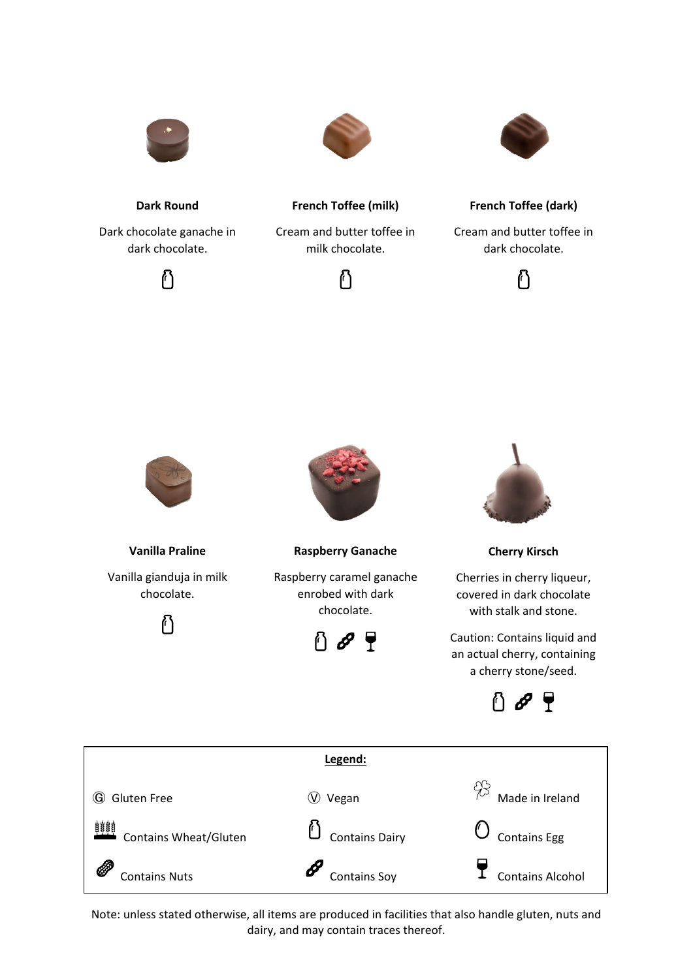

**Dark Round**

Dark chocolate ganache in dark chocolate.





**French Toffee (milk)**

Cream and butter toffee in milk chocolate.





**French Toffee (dark)**

Cream and butter toffee in dark chocolate.

႐ြ



**Vanilla Praline** Vanilla gianduja in milk chocolate.

ပြ



Raspberry caramel ganache enrobed with dark chocolate.

↑∂₹



**Cherry Kirsch**

Cherries in cherry liqueur, covered in dark chocolate with stalk and stone.

Caution: Contains liquid and an actual cherry, containing a cherry stone/seed.



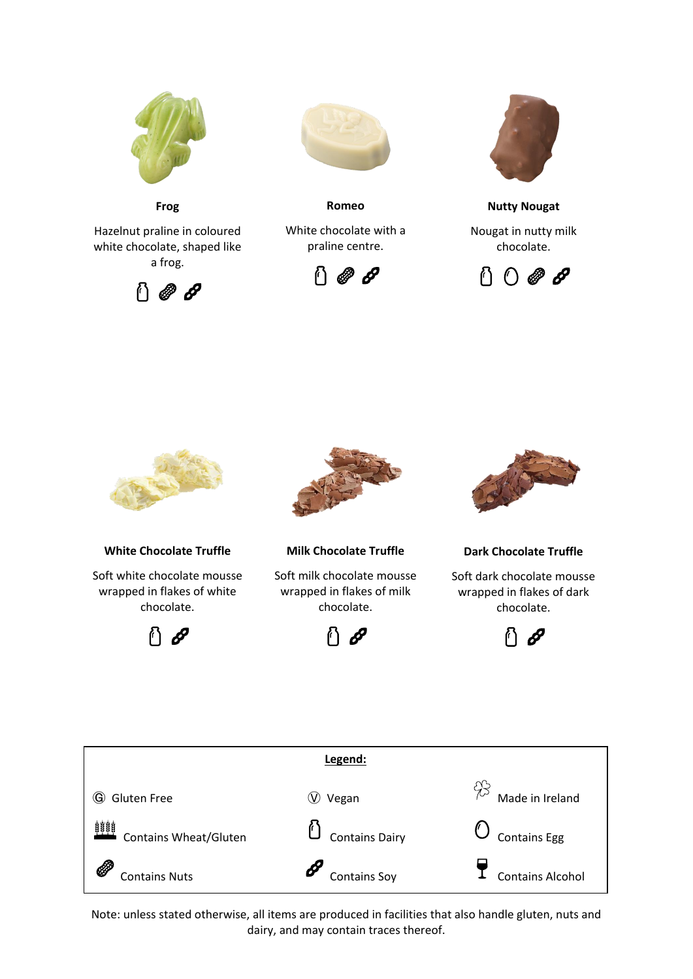

**Frog**

Hazelnut praline in coloured white chocolate, shaped like a frog.





**Romeo**

White chocolate with a praline centre.





**Nutty Nougat**

Nougat in nutty milk chocolate.





**White Chocolate Truffle**

Soft white chocolate mousse wrapped in flakes of white chocolate.





**Milk Chocolate Truffle**

Soft milk chocolate mousse wrapped in flakes of milk chocolate.





**Dark Chocolate Truffle**

Soft dark chocolate mousse wrapped in flakes of dark chocolate.



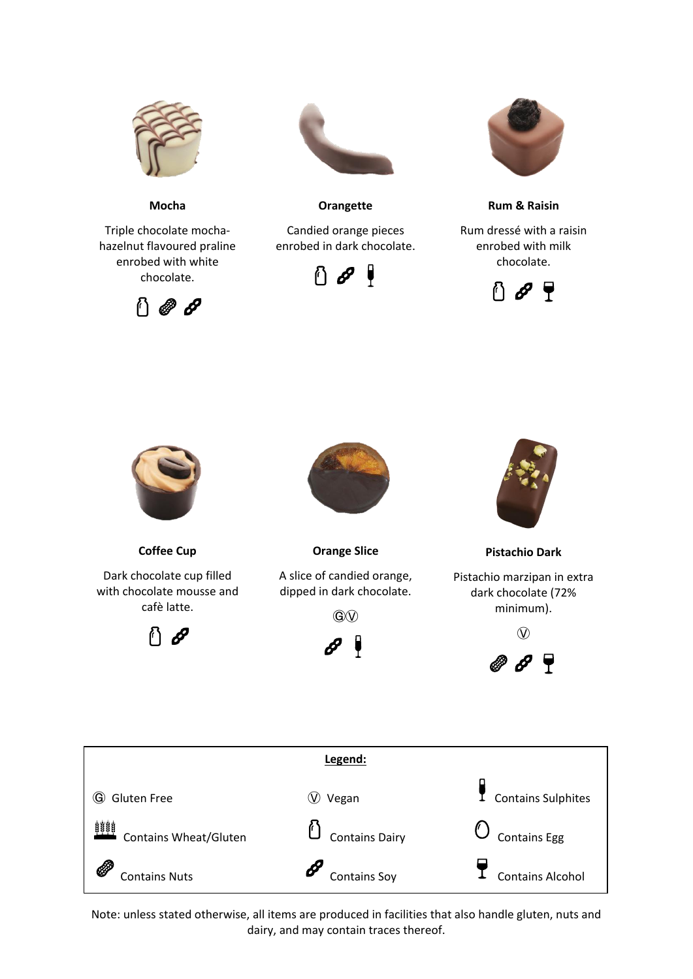

**Mocha**

Triple chocolate mochahazelnut flavoured praline enrobed with white chocolate.





**Orangette**

Candied orange pieces enrobed in dark chocolate.





**Rum & Raisin**

Rum dressé with a raisin enrobed with milk chocolate.





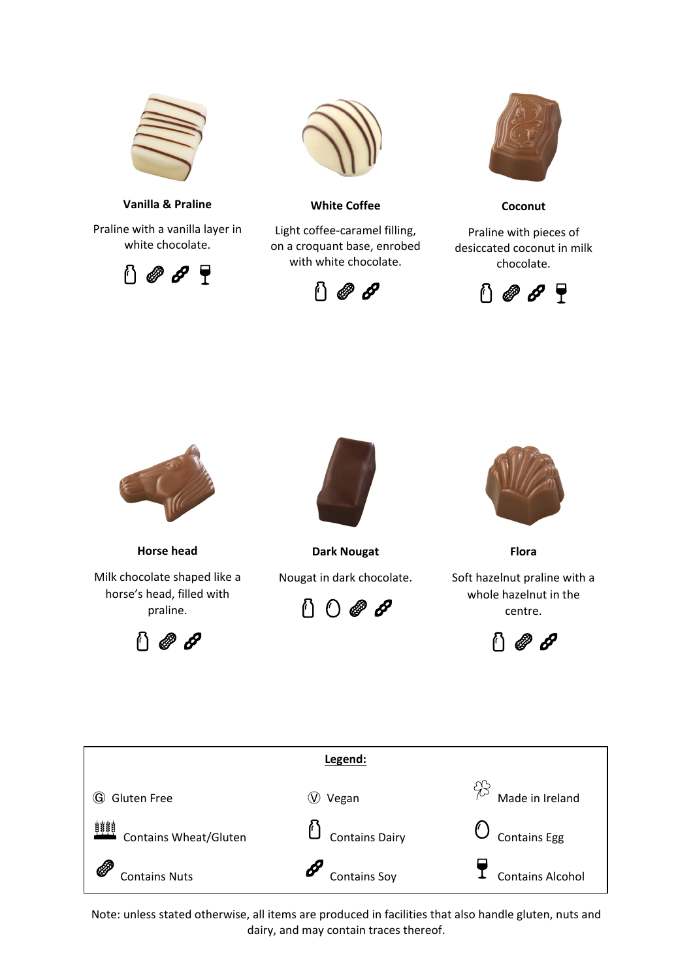

**Vanilla & Praline**

Praline with a vanilla layer in white chocolate.





**White Coffee**

Light coffee-caramel filling, on a croquant base, enrobed with white chocolate.





**Coconut**

Praline with pieces of desiccated coconut in milk chocolate.





**Horse head**

Milk chocolate shaped like a horse's head, filled with praline.





**Dark Nougat** Nougat in dark chocolate.





**Flora**

Soft hazelnut praline with a whole hazelnut in the centre.



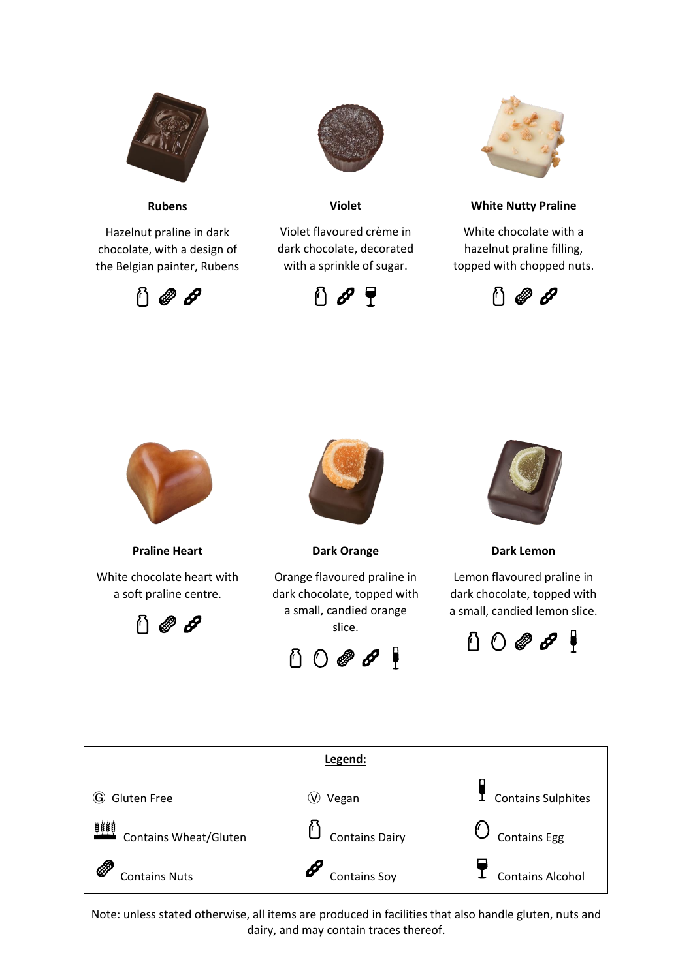

**Rubens**

Hazelnut praline in dark chocolate, with a design of the Belgian painter, Rubens





**Violet**

Violet flavoured crème in dark chocolate, decorated with a sprinkle of sugar.





**White Nutty Praline**

White chocolate with a hazelnut praline filling, topped with chopped nuts.





**Praline Heart**

White chocolate heart with a soft praline centre.





**Dark Orange**

Orange flavoured praline in dark chocolate, topped with a small, candied orange slice.

 $0$   $0$   $8$   $8$   $9$ 



**Dark Lemon**

Lemon flavoured praline in dark chocolate, topped with a small, candied lemon slice.



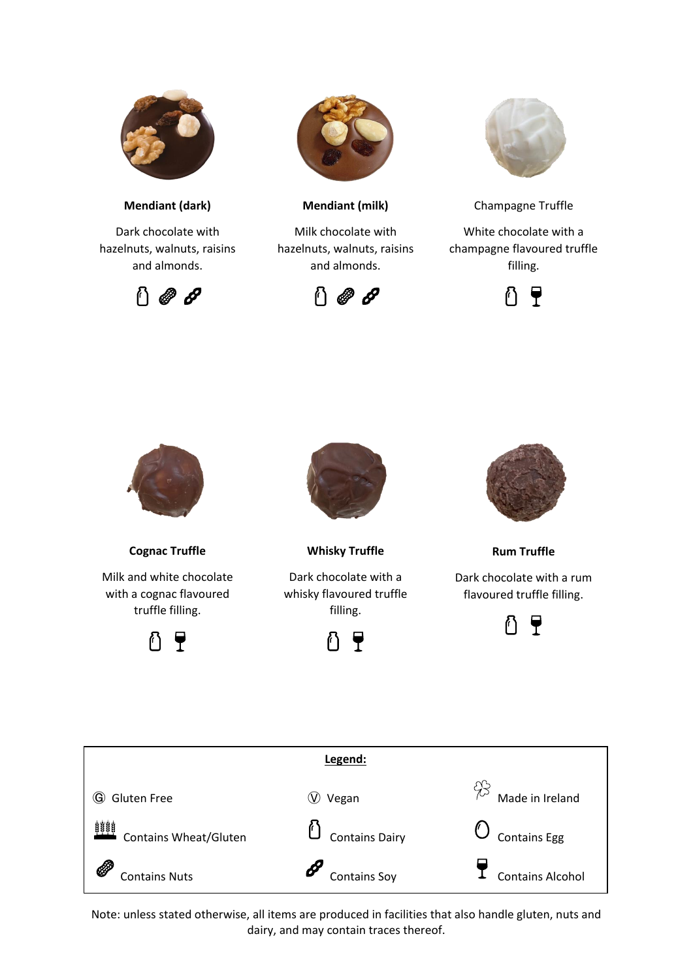

**Mendiant (dark)**

Dark chocolate with hazelnuts, walnuts, raisins and almonds.





**Mendiant (milk)**

Milk chocolate with hazelnuts, walnuts, raisins and almonds.





Champagne Truffle

White chocolate with a champagne flavoured truffle filling.





**Cognac Truffle**

Milk and white chocolate with a cognac flavoured truffle filling.





**Whisky Truffle**

Dark chocolate with a whisky flavoured truffle filling.





**Rum Truffle**

Dark chocolate with a rum flavoured truffle filling.



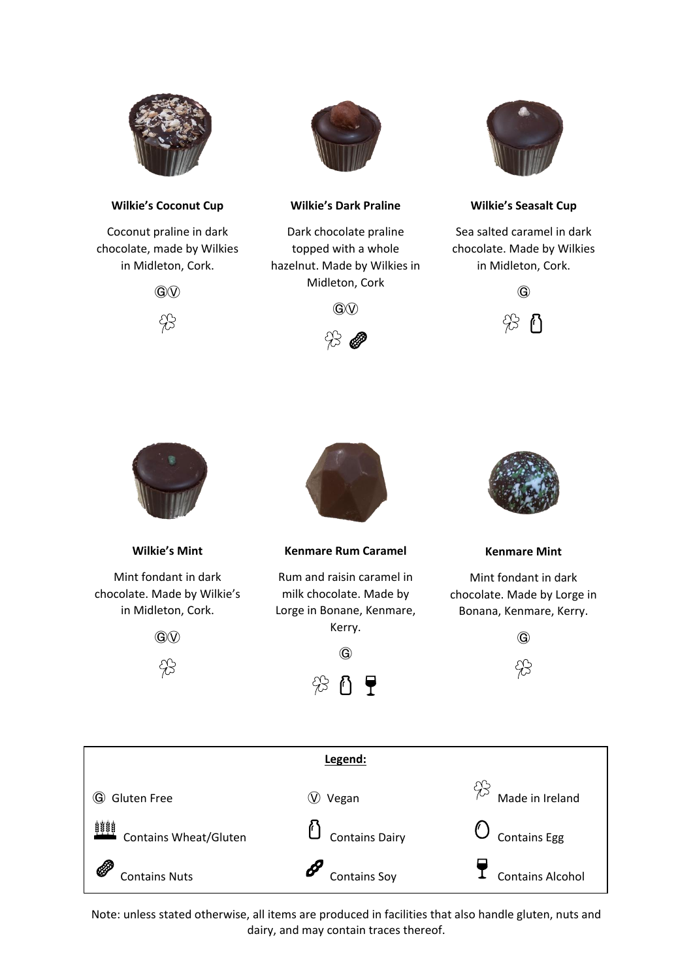

## **Wilkie's Coconut Cup**

Coconut praline in dark chocolate, made by Wilkies in Midleton, Cork.





## **Wilkie's Dark Praline**

Dark chocolate praline topped with a whole hazelnut. Made by Wilkies in Midleton, Cork



**G** 



#### **Wilkie's Seasalt Cup**

Sea salted caramel in dark chocolate. Made by Wilkies in Midleton, Cork.





**Wilkie's Mint**

Mint fondant in dark chocolate. Made by Wilkie's in Midleton, Cork.

**G** 

83



**Kenmare Rum Caramel**

Rum and raisin caramel in milk chocolate. Made by Lorge in Bonane, Kenmare, Kerry.





**Kenmare Mint**

Mint fondant in dark chocolate. Made by Lorge in Bonana, Kenmare, Kerry.

 $\odot$ 

 $\lambda$ 3

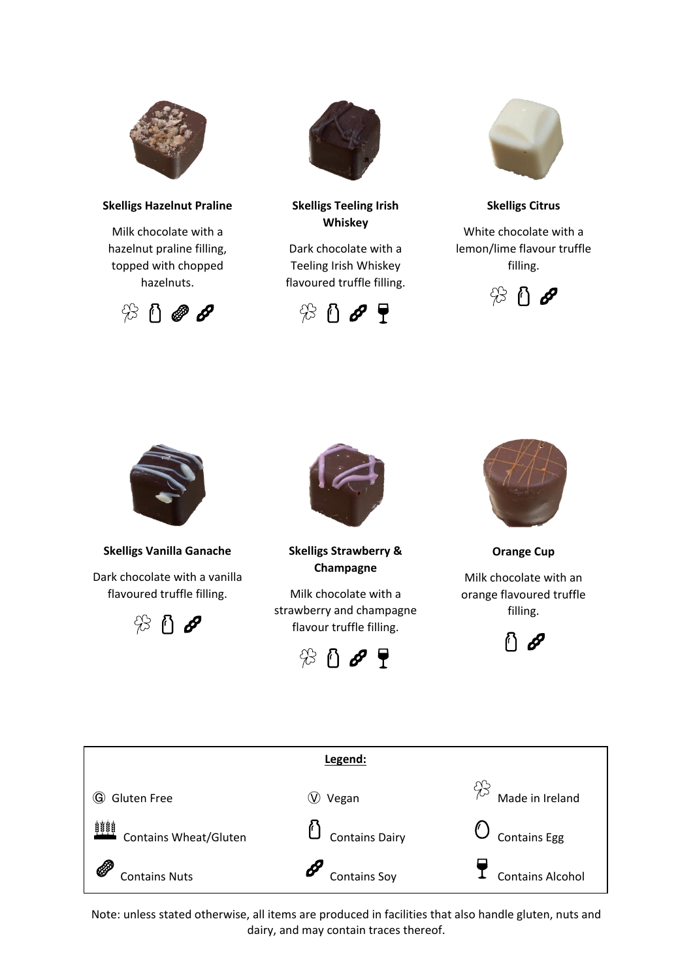

#### **Skelligs Hazelnut Praline**

Milk chocolate with a hazelnut praline filling, topped with chopped hazelnuts.





# **Skelligs Teeling Irish Whiskey**

Dark chocolate with a Teeling Irish Whiskey flavoured truffle filling.





**Skelligs Citrus**

White chocolate with a lemon/lime flavour truffle filling.





**Skelligs Vanilla Ganache**

Dark chocolate with a vanilla flavoured truffle filling.





**Skelligs Strawberry & Champagne**

Milk chocolate with a strawberry and champagne flavour truffle filling.





**Orange Cup**

Milk chocolate with an orange flavoured truffle filling.



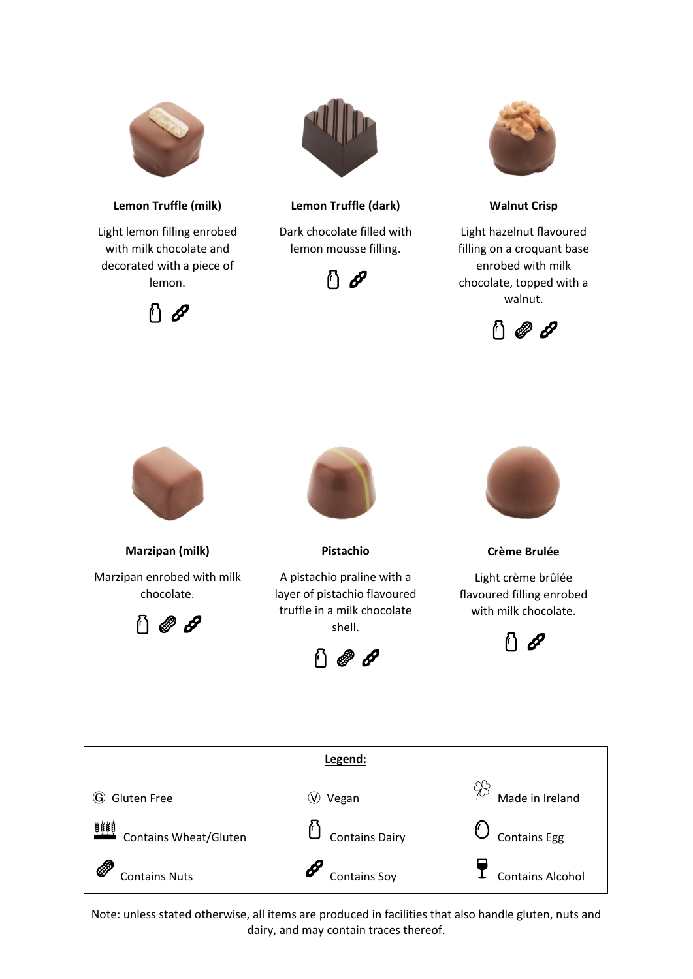

**Lemon Truffle (milk)**

Light lemon filling enrobed with milk chocolate and decorated with a piece of lemon.





# **Lemon Truffle (dark)**

Dark chocolate filled with lemon mousse filling.





**Walnut Crisp**

Light hazelnut flavoured filling on a croquant base enrobed with milk chocolate, topped with a walnut.





**Marzipan (milk)** Marzipan enrobed with milk

> chocolate. 000



**Pistachio**

A pistachio praline with a layer of pistachio flavoured truffle in a milk chocolate shell.





**Crème Brulée**

Light crème brûlée flavoured filling enrobed with milk chocolate.



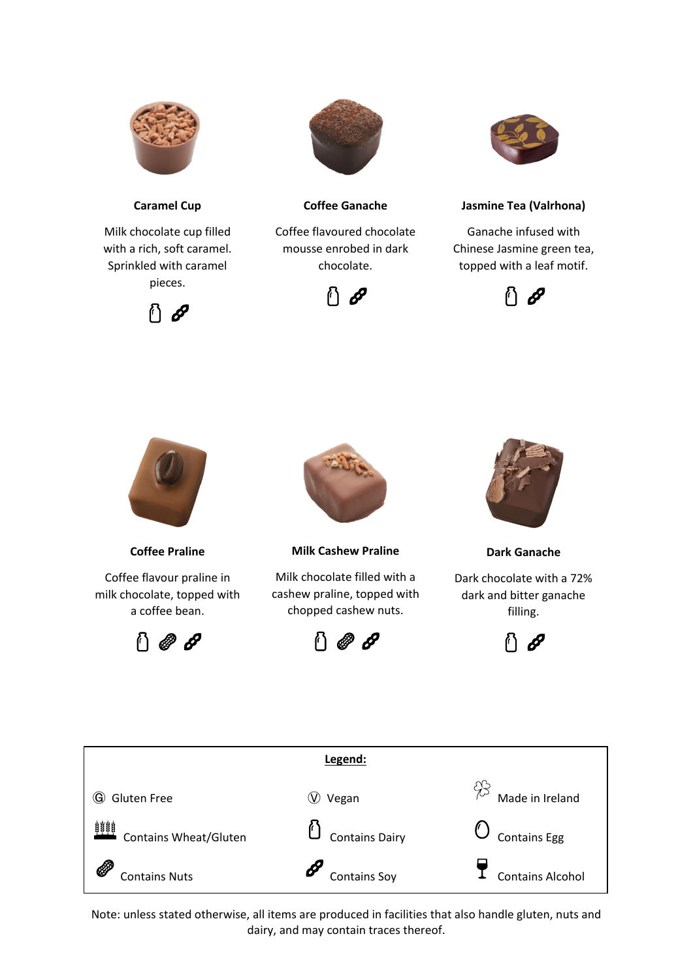

**Caramel Cup**

Milk chocolate cup filled with a rich, soft caramel. Sprinkled with caramel pieces.





**Coffee Ganache**

Coffee flavoured chocolate mousse enrobed in dark chocolate.





# **Jasmine Tea (Valrhona)**

Ganache infused with Chinese Jasmine green tea, topped with a leaf motif.





**Coffee Praline**

Coffee flavour praline in milk chocolate, topped with a coffee bean.





**Milk Cashew Praline**

Milk chocolate filled with a cashew praline, topped with chopped cashew nuts.





**Dark Ganache**

Dark chocolate with a 72% dark and bitter ganache filling.



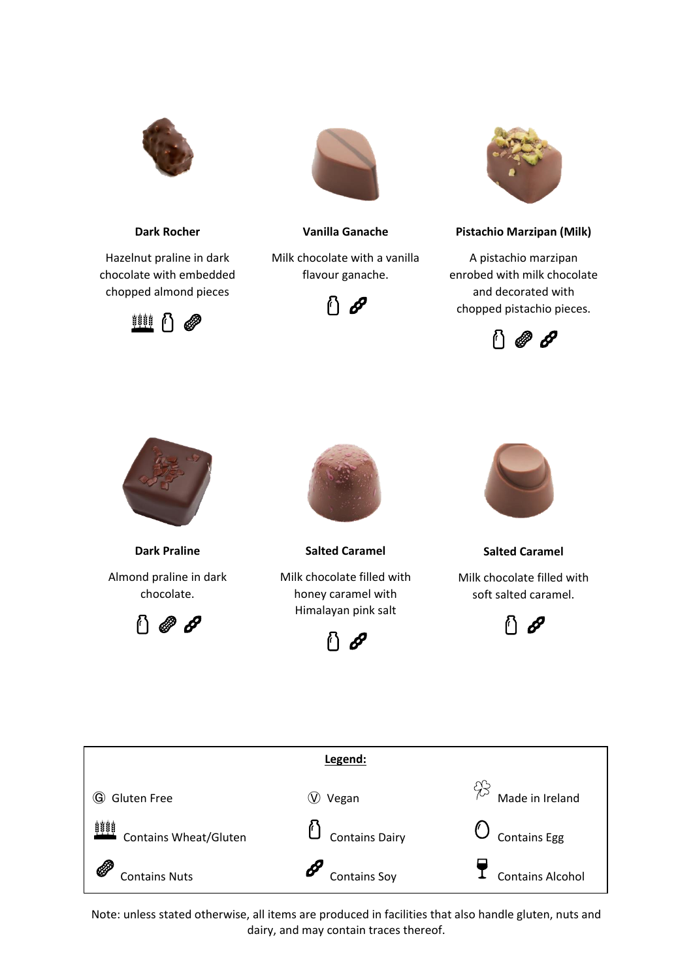

**Dark Rocher**

Hazelnut praline in dark chocolate with embedded chopped almond pieces





## **Vanilla Ganache**

Milk chocolate with a vanilla flavour ganache.





# **Pistachio Marzipan (Milk)**

A pistachio marzipan enrobed with milk chocolate and decorated with chopped pistachio pieces.





**Dark Praline** Almond praline in dark chocolate.





**Salted Caramel** Milk chocolate filled with honey caramel with Himalayan pink salt





**Salted Caramel**

Milk chocolate filled with soft salted caramel.



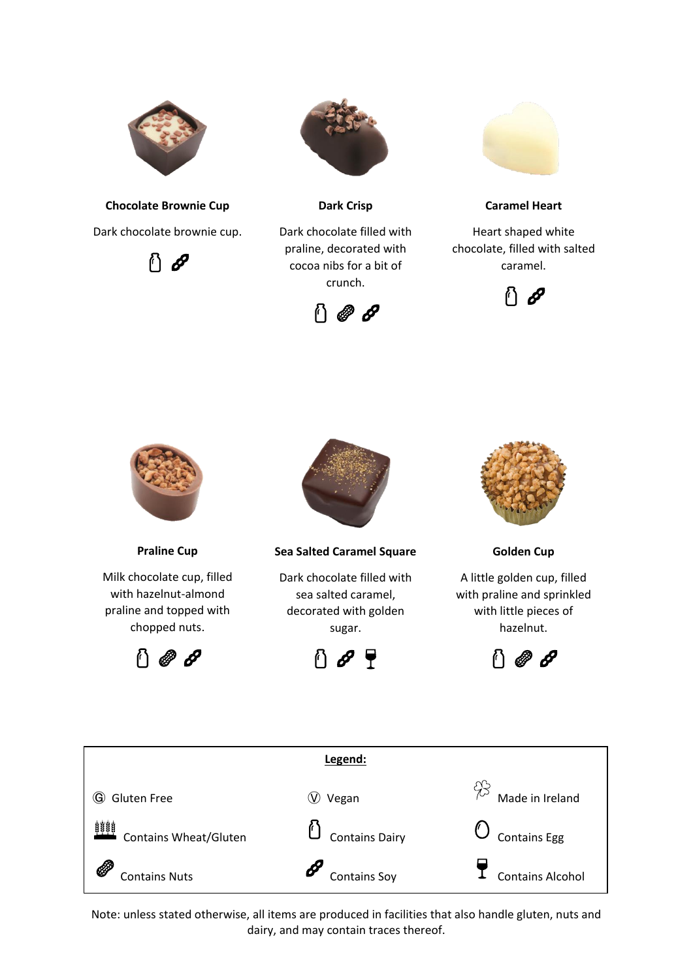

**Chocolate Brownie Cup** Dark chocolate brownie cup.





**Dark Crisp**

Dark chocolate filled with praline, decorated with cocoa nibs for a bit of crunch.





**Caramel Heart**

Heart shaped white chocolate, filled with salted caramel.





**Praline Cup**

Milk chocolate cup, filled with hazelnut-almond praline and topped with chopped nuts.





**Sea Salted Caramel Square**

Dark chocolate filled with sea salted caramel, decorated with golden sugar.

↑∂₹



**Golden Cup**

A little golden cup, filled with praline and sprinkled with little pieces of hazelnut.